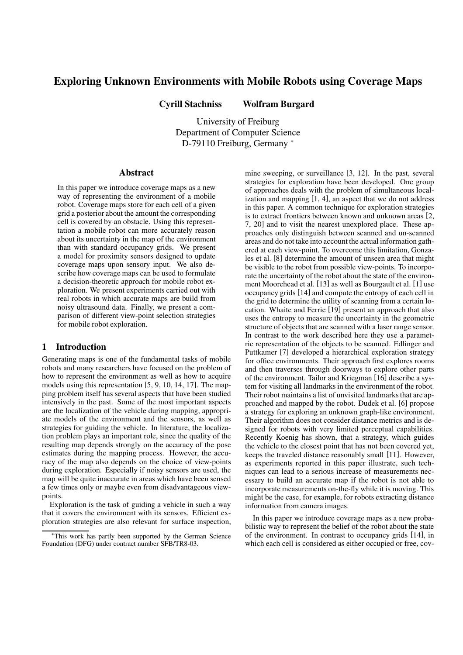# **Exploring Unknown Environments with Mobile Robots using Coverage Maps**

**Cyrill Stachniss Wolfram Burgard**

University of Freiburg Department of Computer Science D-79110 Freiburg, Germany ∗

#### **Abstract**

In this paper we introduce coverage maps as a new way of representing the environment of a mobile robot. Coverage maps store for each cell of a given grid a posterior about the amount the corresponding cell is covered by an obstacle. Using this representation a mobile robot can more accurately reason about its uncertainty in the map of the environment than with standard occupancy grids. We present a model for proximity sensors designed to update coverage maps upon sensory input. We also describe how coverage maps can be used to formulate a decision-theoretic approach for mobile robot exploration. We present experiments carried out with real robots in which accurate maps are build from noisy ultrasound data. Finally, we present a comparison of different view-point selection strategies for mobile robot exploration.

### **1 Introduction**

Generating maps is one of the fundamental tasks of mobile robots and many researchers have focused on the problem of how to represent the environment as well as how to acquire models using this representation [5, 9, 10, 14, 17]. The mapping problem itself has several aspects that have been studied intensively in the past. Some of the most important aspects are the localization of the vehicle during mapping, appropriate models of the environment and the sensors, as well as strategies for guiding the vehicle. In literature, the localization problem plays an important role, since the quality of the resulting map depends strongly on the accuracy of the pose estimates during the mapping process. However, the accuracy of the map also depends on the choice of view-points during exploration. Especially if noisy sensors are used, the map will be quite inaccurate in areas which have been sensed a few times only or maybe even from disadvantageous viewpoints.

Exploration is the task of guiding a vehicle in such a way that it covers the environment with its sensors. Efficient exploration strategies are also relevant for surface inspection, mine sweeping, or surveillance [3, 12]. In the past, several strategies for exploration have been developed. One group of approaches deals with the problem of simultaneous localization and mapping [1, 4], an aspect that we do not address in this paper. A common technique for exploration strategies is to extract frontiers between known and unknown areas [2, 7, 20] and to visit the nearest unexplored place. These approaches only distinguish between scanned and un-scanned areas and do not take into account the actual information gathered at each view-point. To overcome this limitation, Gonzales et al. [8] determine the amount of unseen area that might be visible to the robot from possible view-points. To incorporate the uncertainty of the robot about the state of the environment Moorehead et al. [13] as well as Bourgault et al. [1] use occupancy grids [14] and compute the entropy of each cell in the grid to determine the utility of scanning from a certain location. Whaite and Ferrie [19] present an approach that also uses the entropy to measure the uncertainty in the geometric structure of objects that are scanned with a laser range sensor. In contrast to the work described here they use a parametric representation of the objects to be scanned. Edlinger and Puttkamer [7] developed a hierarchical exploration strategy for office environments. Their approach first explores rooms and then traverses through doorways to explore other parts of the environment. Tailor and Kriegman [16] describe a system for visiting all landmarks in the environment of the robot. Their robot maintains a list of unvisited landmarks that are approached and mapped by the robot. Dudek et al. [6] propose a strategy for exploring an unknown graph-like environment. Their algorithm does not consider distance metrics and is designed for robots with very limited perceptual capabilities. Recently Koenig has shown, that a strategy, which guides the vehicle to the closest point that has not been covered yet, keeps the traveled distance reasonably small [11]. However, as experiments reported in this paper illustrate, such techniques can lead to a serious increase of measurements necessary to build an accurate map if the robot is not able to incorporate measurements on-the-fly while it is moving. This might be the case, for example, for robots extracting distance information from camera images.

In this paper we introduce coverage maps as a new probabilistic way to represent the belief of the robot about the state of the environment. In contrast to occupancy grids [14], in which each cell is considered as either occupied or free, cov-

<sup>∗</sup>This work has partly been supported by the German Science Foundation (DFG) under contract number SFB/TR8-03.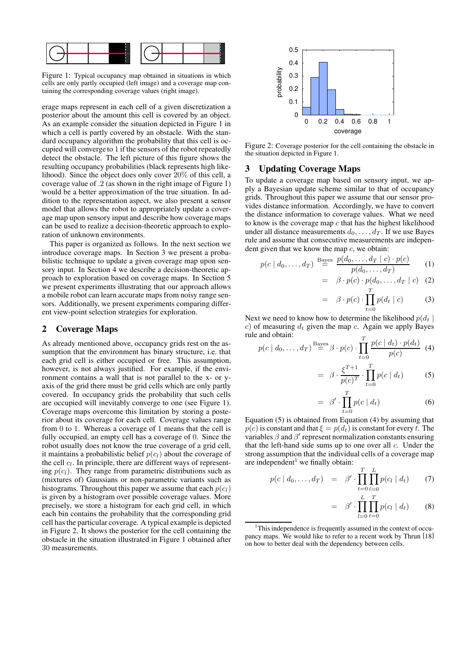

Figure 1: Typical occupancy map obtained in situations in which cells are only partly occupied (left image) and a coverage map containing the corresponding coverage values (right image).

erage maps represent in each cell of a given discretization a posterior about the amount this cell is covered by an object. As an example consider the situation depicted in Figure 1 in which a cell is partly covered by an obstacle. With the standard occupancy algorithm the probability that this cell is occupied will converge to 1 if the sensors of the robot repeatedly detect the obstacle. The left picture of this figure shows the resulting occupancy probabilities (black represents high likelihood). Since the object does only cover 20% of this cell, a coverage value of .2 (as shown in the right image of Figure 1) would be a better approximation of the true situation. In addition to the representation aspect, we also present a sensor model that allows the robot to appropriately update a coverage map upon sensory input and describe how coverage maps can be used to realize a decision-theoretic approach to exploration of unknown environments.

This paper is organized as follows. In the next section we introduce coverage maps. In Section 3 we present a probabilistic technique to update a given coverage map upon sensory input. In Section 4 we describe a decision-theoretic approach to exploration based on coverage maps. In Section 5 we present experiments illustrating that our approach allows a mobile robot can learn accurate maps from noisy range sensors. Additionally, we present experiments comparing different view-point selection strategies for exploration.

### **2 Coverage Maps**

As already mentioned above, occupancy grids rest on the assumption that the environment has binary structure, i.e. that each grid cell is either occupied or free. This assumption, however, is not always justified. For example, if the environment contains a wall that is not parallel to the x- or yaxis of the grid there must be grid cells which are only partly covered. In occupancy grids the probability that such cells are occupied will inevitably converge to one (see Figure 1). Coverage maps overcome this limitation by storing a posterior about its coverage for each cell. Coverage values range from 0 to 1. Whereas a coverage of 1 means that the cell is fully occupied, an empty cell has a coverage of 0. Since the robot usually does not know the true coverage of a grid cell, it maintains a probabilistic belief  $p(c_l)$  about the coverage of the cell  $c_l$ . In principle, there are different ways of representing  $p(c_l)$ . They range from parametric distributions such as (mixtures of) Gaussians or non-parametric variants such as histograms. Throughout this paper we assume that each  $p(c_l)$ is given by a histogram over possible coverage values. More precisely, we store a histogram for each grid cell, in which each bin contains the probability that the corresponding grid cell has the particular coverage. A typical example is depicted in Figure 2. It shows the posterior for the cell containing the obstacle in the situation illustrated in Figure 1 obtained after 30 measurements.



Figure 2: Coverage posterior for the cell containing the obstacle in the situation depicted in Figure 1.

### **3 Updating Coverage Maps**

To update a coverage map based on sensory input, we apply a Bayesian update scheme similar to that of occupancy grids. Throughout this paper we assume that our sensor provides distance information. Accordingly, we have to convert the distance information to coverage values. What we need to know is the coverage map  $c$  that has the highest likelihood under all distance measurements  $d_0, \ldots, d_T$ . If we use Bayes rule and assume that consecutive measurements are independent given that we know the map  $c$ , we obtain:

$$
p(c \mid d_0, \ldots, d_T) \stackrel{\text{Bayes}}{=} \frac{p(d_0, \ldots, d_T \mid c) \cdot p(c)}{p(d_0, \ldots, d_T)} \qquad (1)
$$

$$
= \beta \cdot p(c) \cdot p(d_0, \dots, d_T \mid c) \quad (2)
$$

$$
= \beta \cdot p(c) \cdot \prod_{t=0}^{t} p(d_t | c)
$$
 (3)

Next we need to know how to determine the likelihood  $p(d_t |$ c) of measuring  $d_t$  given the map c. Again we apply Bayes rule and obtain:

$$
p(c | d_0, \dots, d_T) \stackrel{\text{Bayes}}{=} \beta \cdot p(c) \cdot \prod_{t=0}^T \frac{p(c | d_t) \cdot p(d_t)}{p(c)} \tag{4}
$$

$$
= \beta \cdot \frac{\xi^{T+1}}{P(d_t | d_t)} \cdot \prod_{t=0}^T p(c | d_t) \tag{5}
$$

$$
= \beta \cdot \frac{S}{p(c)^{T}} \cdot \prod_{t=0}^{S} p(c \mid d_{t}) \tag{5}
$$

$$
= \beta' \cdot \prod_{t=0}^{T} p(c \mid d_t) \tag{6}
$$

Equation (5) is obtained from Equation (4) by assuming that  $p(c)$  is constant and that  $\xi = p(d_t)$  is constant for every t. The variables  $\beta$  and  $\beta'$  represent normalization constants ensuring that the left-hand side sums up to one over all  $c$ . Under the strong assumption that the individual cells of a coverage map are independent<sup>1</sup> we finally obtain:

$$
p(c | d_0, ..., d_T) = \beta' \cdot \prod_{t=0}^{T} \prod_{l=0}^{L} p(c_l | d_t)
$$
 (7)

$$
= \beta' \cdot \prod_{l=0}^{L} \prod_{t=0}^{T} p(c_l \mid d_t) \qquad (8)
$$

<sup>&</sup>lt;sup>1</sup>This independence is frequently assumed in the context of occupancy maps. We would like to refer to a recent work by Thrun [18] on how to better deal with the dependency between cells.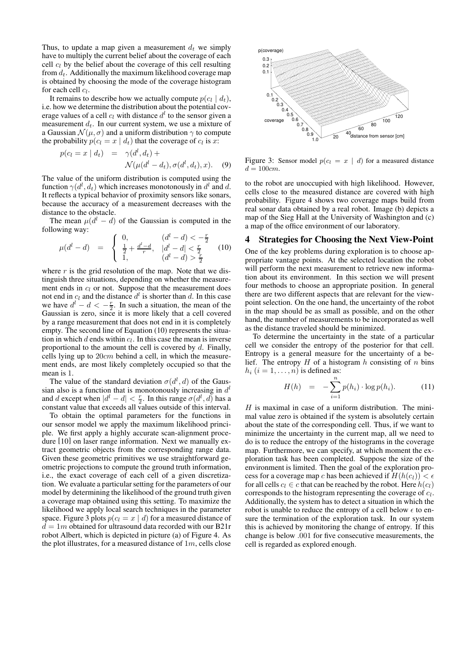Thus, to update a map given a measurement  $d_t$  we simply have to multiply the current belief about the coverage of each cell  $c_l$  by the belief about the coverage of this cell resulting from  $d_t$ . Additionally the maximum likelihood coverage map is obtained by choosing the mode of the coverage histogram for each cell  $c_l$ .

It remains to describe how we actually compute  $p(c_l | d_t)$ , i.e. how we determine the distribution about the potential coverage values of a cell  $c_l$  with distance  $d^l$  to the sensor given a measurement  $d_t$ . In our current system, we use a mixture of a Gaussian  $\mathcal{N}(\mu, \sigma)$  and a uniform distribution  $\gamma$  to compute the probability  $p(c_l = x | d_t)$  that the coverage of  $c_l$  is x:

$$
p(c_l = x | d_t) = \gamma(d^l, d_t) + \mathcal{N}(\mu(d^l - d_t), \sigma(d^l, d_t), x).
$$
 (9)

The value of the uniform distribution is computed using the function  $\gamma(d^l, d_t)$  which increases monotonously in  $d^l$  and  $d$ . It reflects a typical behavior of proximity sensors like sonars, because the accuracy of a measurement decreases with the distance to the obstacle.

The mean  $\mu(d^l - d)$  of the Gaussian is computed in the following way:

$$
\mu(d^l - d) = \begin{cases}\n0, & (d^l - d) < -\frac{r}{2} \\
\frac{1}{2} + \frac{d^l - d}{r}, & |d^l - d| < \frac{r}{2} \\
1, & (d^l - d) > \frac{r}{2}\n\end{cases}
$$
\n(10)

where  $r$  is the grid resolution of the map. Note that we distinguish three situations, depending on whether the measurement ends in  $c_l$  or not. Suppose that the measurement does not end in  $c_l$  and the distance  $d^l$  is shorter than d. In this case we have  $d^{l} - d < -\frac{r}{2}$ . In such a situation, the mean of the Gaussian is zero, since it is more likely that a cell covered by a range measurement that does not end in it is completely empty. The second line of Equation (10) represents the situation in which d ends within  $c_l$ . In this case the mean is inverse proportional to the amount the cell is covered by  $d$ . Finally, cells lying up to 20cm behind a cell, in which the measurement ends, are most likely completely occupied so that the mean is 1.

The value of the standard deviation  $\sigma(d^l, d)$  of the Gaussian also is a function that is monotonously increasing in  $d<sup>l</sup>$ and d except when  $|d^l - d| < \frac{r}{2}$ . In this range  $\sigma(d^l, d)$  has a constant value that exceeds all values outside of this interval.

To obtain the optimal parameters for the functions in our sensor model we apply the maximum likelihood principle. We first apply a highly accurate scan-alignment procedure [10] on laser range information. Next we manually extract geometric objects from the corresponding range data. Given these geometric primitives we use straightforward geometric projections to compute the ground truth information, i.e., the exact coverage of each cell of a given discretization. We evaluate a particularsetting for the parameters of our model by determining the likelihood of the ground truth given a coverage map obtained using this setting. To maximize the likelihood we apply local search techniques in the parameter space. Figure 3 plots  $p(c_l = x \mid d)$  for a measured distance of  $d = 1m$  obtained for ultrasound data recorded with our B21r robot Albert, which is depicted in picture (a) of Figure 4. As the plot illustrates, for a measured distance of  $1m$ , cells close



Figure 3: Sensor model  $p(c_l = x \mid d)$  for a measured distance  $d = 100$ cm.

to the robot are unoccupied with high likelihood. However, cells close to the measured distance are covered with high probability. Figure 4 shows two coverage maps build from real sonar data obtained by a real robot. Image (b) depicts a map of the Sieg Hall at the University of Washington and (c) a map of the office environment of our laboratory.

### **4 Strategies for Choosing the Next View-Point**

One of the key problems during exploration is to choose appropriate vantage points. At the selected location the robot will perform the next measurement to retrieve new information about its environment. In this section we will present four methods to choose an appropriate position. In general there are two different aspects that are relevant for the viewpoint selection. On the one hand, the uncertainty of the robot in the map should be as small as possible, and on the other hand, the number of measurements to be incorporated as well as the distance traveled should be minimized.

To determine the uncertainty in the state of a particular cell we consider the entropy of the posterior for that cell. Entropy is a general measure for the uncertainty of a belief. The entropy  $H$  of a histogram  $h$  consisting of  $n$  bins  $h_i$   $(i = 1, \ldots, n)$  is defined as:

$$
H(h) = -\sum_{i=1}^{n} p(h_i) \cdot \log p(h_i). \tag{11}
$$

 $H$  is maximal in case of a uniform distribution. The minimal value zero is obtained if the system is absolutely certain about the state of the corresponding cell. Thus, if we want to minimize the uncertainty in the current map, all we need to do is to reduce the entropy of the histograms in the coverage map. Furthermore, we can specify, at which moment the exploration task has been completed. Suppose the size of the environment is limited. Then the goal of the exploration process for a coverage map c has been achieved if  $H(h(c_l)) < \epsilon$ for all cells  $c_l \in c$  that can be reached by the robot. Here  $h(c_l)$ corresponds to the histogram representing the coverage of  $c_l$ . Additionally, the system has to detect a situation in which the robot is unable to reduce the entropy of a cell below  $\epsilon$  to ensure the termination of the exploration task. In our system this is achieved by monitoring the change of entropy. If this change is below .001 for five consecutive measurements, the cell is regarded as explored enough.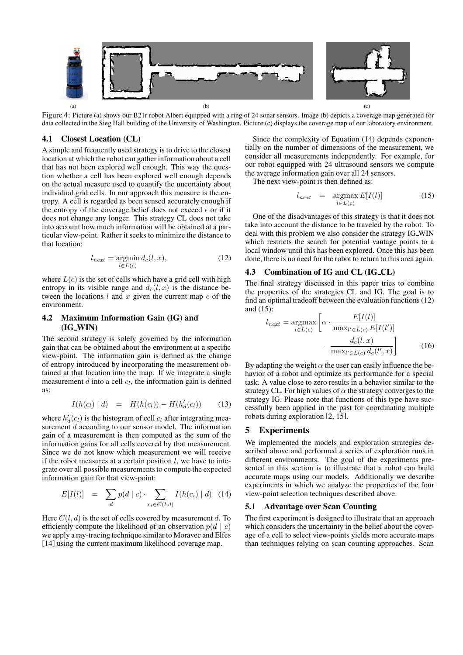

Figure 4: Picture (a) shows our B21r robot Albert equipped with a ring of 24 sonar sensors. Image (b) depicts a coverage map generated for data collected in the Sieg Hall building of the University of Washington. Picture (c) displays the coverage map of our laboratory environment.

#### **4.1 Closest Location (CL)**

A simple and frequently used strategy is to drive to the closest location at which the robot can gather information about a cell that has not been explored well enough. This way the question whether a cell has been explored well enough depends on the actual measure used to quantify the uncertainty about individual grid cells. In our approach this measure is the entropy. A cell is regarded as been sensed accurately enough if the entropy of the coverage belief does not exceed  $\epsilon$  or if it does not change any longer. This strategy CL does not take into account how much information will be obtained at a particular view-point. Rather it seeks to minimize the distance to that location:

$$
l_{next} = \underset{l \in L(c)}{\operatorname{argmin}} d_c(l, x),\tag{12}
$$

where  $L(c)$  is the set of cells which have a grid cell with high entropy in its visible range and  $d_c(l, x)$  is the distance between the locations  $l$  and  $x$  given the current map  $c$  of the environment.

### **4.2 Maximum Information Gain (IG) and (IG WIN)**

The second strategy is solely governed by the information gain that can be obtained about the environment at a specific view-point. The information gain is defined as the change of entropy introduced by incorporating the measurement obtained at that location into the map. If we integrate a single measurement  $d$  into a cell  $c_l$ , the information gain is defined as:

$$
I(h(c_l) | d) = H(h(c_l)) - H(h'_d(c_l)) \qquad (13)
$$

where  $h_d'(c_l)$  is the histogram of cell  $c_l$  after integrating measurement d according to our sensor model. The information gain of a measurement is then computed as the sum of the information gains for all cells covered by that measurement. Since we do not know which measurement we will receive if the robot measures at a certain position  $l$ , we have to integrate over all possible measurements to compute the expected information gain for that view-point:

$$
E[I(l)] = \sum_{d} p(d \mid c) \cdot \sum_{c_i \in C(l,d)} I(h(c_i) \mid d) \quad (14)
$$

Here  $C(l, d)$  is the set of cells covered by measurement d. To efficiently compute the likelihood of an observation  $p(d | c)$ we apply a ray-tracing technique similar to Moravec and Elfes [14] using the current maximum likelihood coverage map.

Since the complexity of Equation (14) depends exponentially on the number of dimensions of the measurement, we consider all measurements independently. For example, for our robot equipped with 24 ultrasound sensors we compute the average information gain over all 24 sensors.

The next view-point is then defined as:

$$
l_{next} = \operatorname*{argmax}_{l \in L(c)} E[I(l)] \tag{15}
$$

One of the disadvantages of this strategy is that it does not take into account the distance to be traveled by the robot. To deal with this problem we also consider the strategy IG WIN which restricts the search for potential vantage points to a local window until this has been explored. Once this has been done, there is no need for the robot to return to this area again.

#### **4.3 Combination of IG and CL (IG CL)**

The final strategy discussed in this paper tries to combine the properties of the strategies CL and IG. The goal is to find an optimal tradeoff between the evaluation functions(12) and (15):

$$
l_{next} = \underset{l \in L(c)}{\operatorname{argmax}} \left[ \alpha \cdot \frac{E[I(l)]}{\max_{l' \in L(c)} E[I(l')]}\right] - \frac{d_c(l, x)}{\max_{l' \in L(c)} d_c(l', x)} \right]
$$
(16)

By adapting the weight  $\alpha$  the user can easily influence the behavior of a robot and optimize its performance for a special task. A value close to zero results in a behavior similar to the strategy CL. For high values of  $\alpha$  the strategy converges to the strategy IG. Please note that functions of this type have successfully been applied in the past for coordinating multiple robots during exploration [2, 15].

## **5 Experiments**

We implemented the models and exploration strategies described above and performed a series of exploration runs in different environments. The goal of the experiments presented in this section is to illustrate that a robot can build accurate maps using our models. Additionally we describe experiments in which we analyze the properties of the four view-point selection techniques described above.

### **5.1 Advantage over Scan Counting**

The first experiment is designed to illustrate that an approach which considers the uncertainty in the belief about the coverage of a cell to select view-points yields more accurate maps than techniques relying on scan counting approaches. Scan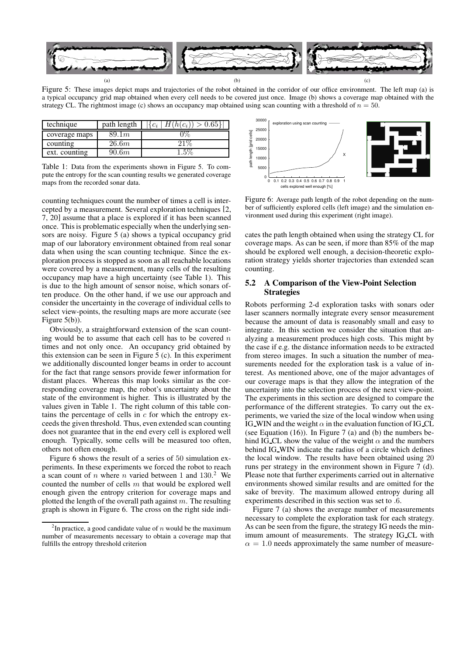

Figure 5: These images depict maps and trajectories of the robot obtained in the corridor of our office environment. The left map (a) is a typical occupancy grid map obtained when every cell needs to be covered just once. Image (b) shows a coverage map obtained with the strategy CL. The rightmost image (c) shows an occupancy map obtained using scan counting with a threshold of  $n = 50$ .

| technique     | path length | $H(h(c_i)) > 0.65$<br>$\cdot$ $C_i$ |
|---------------|-------------|-------------------------------------|
| coverage maps | 89.1m       |                                     |
| counting      | 26.6m       |                                     |
| ext. counting | 90.6m       |                                     |

Table 1: Data from the experiments shown in Figure 5. To compute the entropy for the scan counting results we generated coverage maps from the recorded sonar data.

counting techniques count the number of times a cell is intercepted by a measurement. Several exploration techniques [2, 7, 20] assume that a place is explored if it has been scanned once. This is problematic especially when the underlying sensors are noisy. Figure 5 (a) shows a typical occupancy grid map of our laboratory environment obtained from real sonar data when using the scan counting technique. Since the exploration process is stopped as soon as all reachable locations were covered by a measurement, many cells of the resulting occupancy map have a high uncertainty (see Table 1). This is due to the high amount of sensor noise, which sonars often produce. On the other hand, if we use our approach and consider the uncertainty in the coverage of individual cells to select view-points, the resulting maps are more accurate (see Figure 5(b)).

Obviously, a straightforward extension of the scan counting would be to assume that each cell has to be covered  $n$ times and not only once. An occupancy grid obtained by this extension can be seen in Figure 5 (c). In this experiment we additionally discounted longer beams in order to account for the fact that range sensors provide fewer information for distant places. Whereas this map looks similar as the corresponding coverage map, the robot's uncertainty about the state of the environment is higher. This is illustrated by the values given in Table 1. The right column of this table contains the percentage of cells in  $c$  for which the entropy exceeds the given threshold. Thus, even extended scan counting does not guarantee that in the end every cell is explored well enough. Typically, some cells will be measured too often, others not often enough.

Figure 6 shows the result of a series of 50 simulation experiments. In these experiments we forced the robot to reach a scan count of *n* where *n* varied between 1 and 130.<sup>2</sup> We counted the number of cells  $m$  that would be explored well enough given the entropy criterion for coverage maps and plotted the length of the overall path against  $m$ . The resulting graph is shown in Figure 6. The cross on the right side indi-



Figure 6: Average path length of the robot depending on the number of sufficiently explored cells (left image) and the simulation environment used during this experiment (right image).

cates the path length obtained when using the strategy CL for coverage maps. As can be seen, if more than 85% of the map should be explored well enough, a decision-theoretic exploration strategy yields shorter trajectories than extended scan counting.

### **5.2 A Comparison of the View-Point Selection Strategies**

Robots performing 2-d exploration tasks with sonars oder laser scanners normally integrate every sensor measurement because the amount of data is reasonably small and easy to integrate. In this section we consider the situation that analyzing a measurement produces high costs. This might by the case if e.g. the distance information needs to be extracted from stereo images. In such a situation the number of measurements needed for the exploration task is a value of interest. As mentioned above, one of the major advantages of our coverage maps is that they allow the integration of the uncertainty into the selection process of the next view-point. The experiments in this section are designed to compare the performance of the different strategies. To carry out the experiments, we varied the size of the local window when using IG\_WIN and the weight  $\alpha$  in the evaluation function of IG\_CL (see Equation  $(16)$ ). In Figure 7 (a) and (b) the numbers behind IG CL show the value of the weight  $\alpha$  and the numbers behind IG WIN indicate the radius of a circle which defines the local window. The results have been obtained using 20 runs per strategy in the environment shown in Figure 7 (d). Please note that further experiments carried out in alternative environments showed similar results and are omitted for the sake of brevity. The maximum allowed entropy during all experiments described in this section was set to .6.

Figure 7 (a) shows the average number of measurements necessary to complete the exploration task for each strategy. As can be seen from the figure, the strategy IG needs the minimum amount of measurements. The strategy IG CL with  $\alpha = 1.0$  needs approximately the same number of measure-

<sup>&</sup>lt;sup>2</sup>In practice, a good candidate value of  $n$  would be the maximum number of measurements necessary to obtain a coverage map that fulfills the entropy threshold criterion